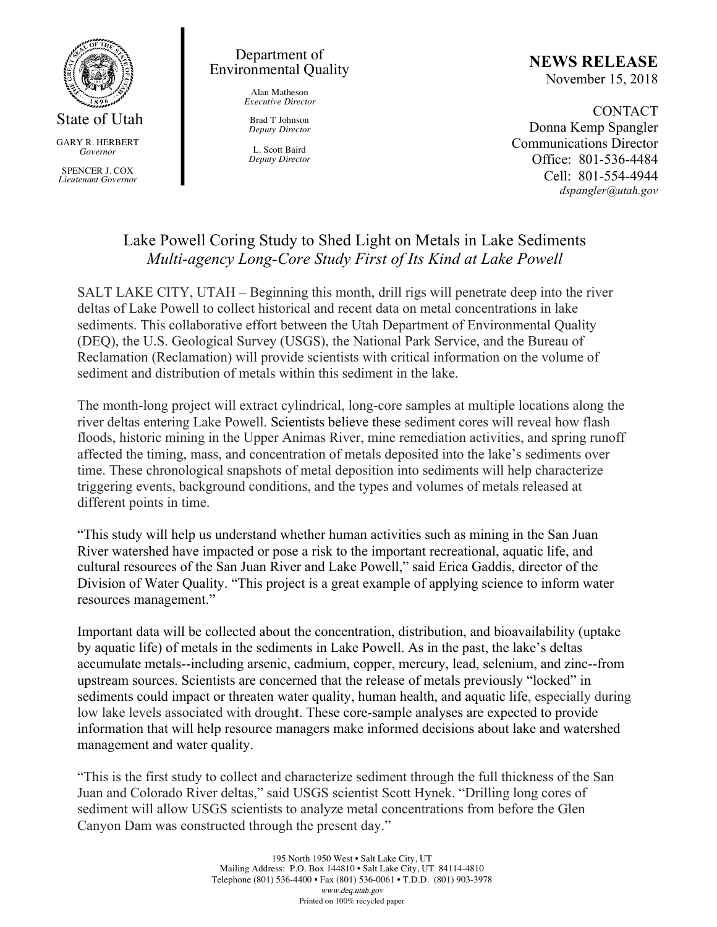

GARY R. HERBERT *Governor*

SPENCER J. COX *Lieutenant Governor*

## Department of Environmental Quality

Alan Matheson *Executive Director*

Brad T Johnson *Deputy Director*

L. Scott Baird *Deputy Director*

# **NEWS RELEASE**

November 15, 2018

CONTACT Donna Kemp Spangler Communications Director Office: 801-536-4484 Cell: 801-554-4944 *dspangler@utah.gov*

## Lake Powell Coring Study to Shed Light on Metals in Lake Sediments *Multi-agency Long-Core Study First of Its Kind at Lake Powell*

SALT LAKE CITY, UTAH – Beginning this month, drill rigs will penetrate deep into the river deltas of Lake Powell to collect historical and recent data on metal concentrations in lake sediments. This collaborative effort between the Utah Department of Environmental Quality (DEQ), the U.S. Geological Survey (USGS), the National Park Service, and the Bureau of Reclamation (Reclamation) will provide scientists with critical information on the volume of sediment and distribution of metals within this sediment in the lake.

The month-long project will extract cylindrical, long-core samples at multiple locations along the river deltas entering Lake Powell. Scientists believe these sediment cores will reveal how flash floods, historic mining in the Upper Animas River, mine remediation activities, and spring runoff affected the timing, mass, and concentration of metals deposited into the lake's sediments over time. These chronological snapshots of metal deposition into sediments will help characterize triggering events, background conditions, and the types and volumes of metals released at different points in time.

"This study will help us understand whether human activities such as mining in the San Juan River watershed have impacted or pose a risk to the important recreational, aquatic life, and cultural resources of the San Juan River and Lake Powell," said Erica Gaddis, director of the Division of Water Quality. "This project is a great example of applying science to inform water resources management."

Important data will be collected about the concentration, distribution, and bioavailability (uptake by aquatic life) of metals in the sediments in Lake Powell. As in the past, the lake's deltas accumulate metals--including arsenic, cadmium, copper, mercury, lead, selenium, and zinc--from upstream sources. Scientists are concerned that the release of metals previously "locked" in sediments could impact or threaten water quality, human health, and aquatic life, especially during low lake levels associated with drough**t**. These core-sample analyses are expected to provide information that will help resource managers make informed decisions about lake and watershed management and water quality.

"This is the first study to collect and characterize sediment through the full thickness of the San Juan and Colorado River deltas," said USGS scientist Scott Hynek. "Drilling long cores of sediment will allow USGS scientists to analyze metal concentrations from before the Glen Canyon Dam was constructed through the present day."